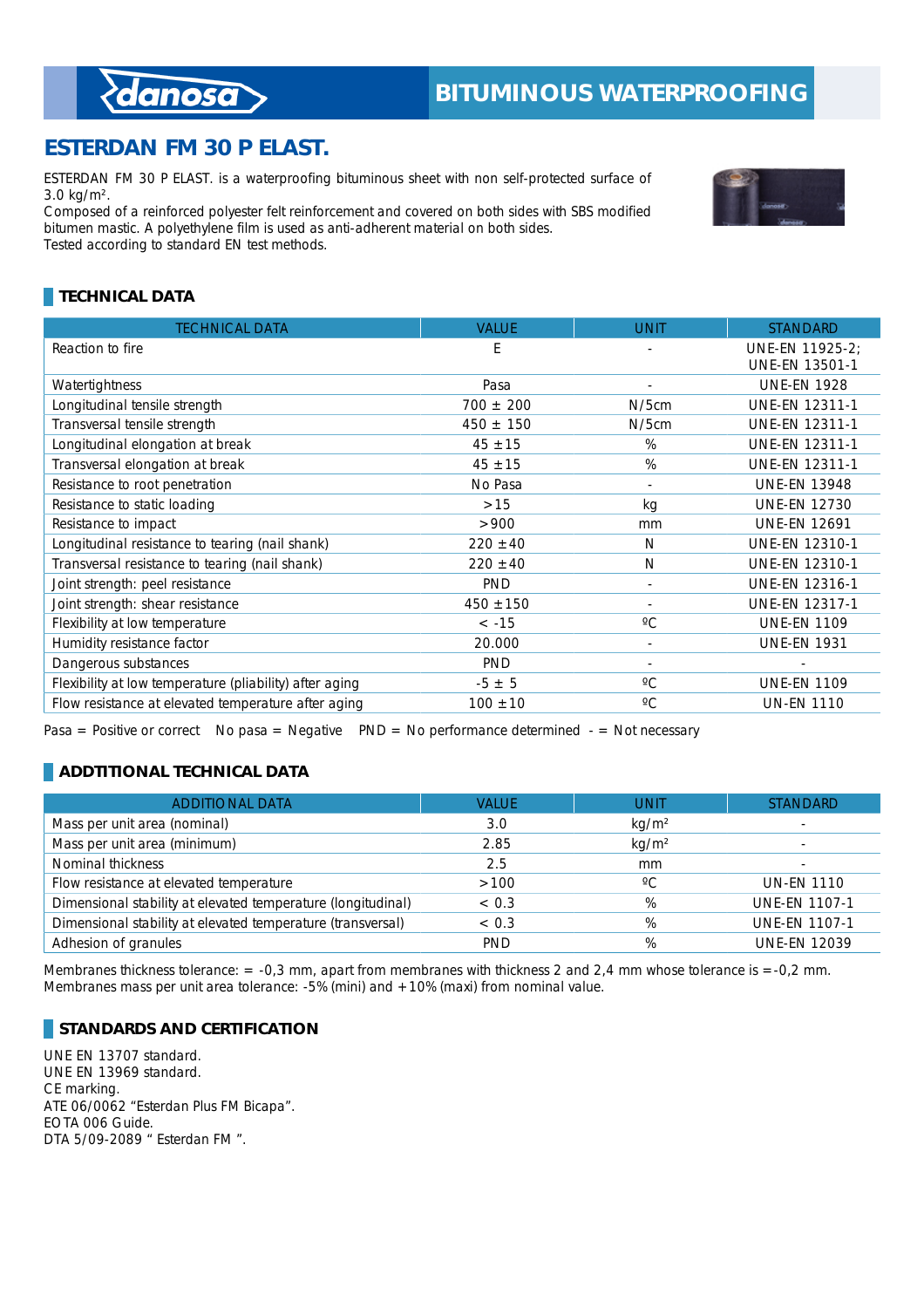## **ESTERDAN FM 30 P ELAST.**

ESTERDAN FM 30 P ELAST. is a waterproofing bituminous sheet with non self-protected surface of 3.0  $kg/m<sup>2</sup>$ .

Composed of a reinforced polyester felt reinforcement and covered on both sides with SBS modified bitumen mastic. A polyethylene film is used as anti-adherent material on both sides. Tested according to standard EN test methods.

## **TECHNICAL DATA**

| <b>TECHNICAL DATA</b>                                   | <b>VALUE</b>  | <b>UNIT</b>     | <b>STANDARD</b>                          |
|---------------------------------------------------------|---------------|-----------------|------------------------------------------|
| Reaction to fire                                        | E             |                 | UNE-EN 11925-2;<br><b>UNE-EN 13501-1</b> |
| Watertightness                                          | Pasa          | $\overline{a}$  | <b>UNE-EN 1928</b>                       |
| Longitudinal tensile strength                           | $700 \pm 200$ | $N/5$ cm        | <b>UNE-EN 12311-1</b>                    |
| Transversal tensile strength                            | $450 \pm 150$ | $N/5$ cm        | <b>UNE-EN 12311-1</b>                    |
| Longitudinal elongation at break                        | $45 \pm 15$   | %               | <b>UNE-EN 12311-1</b>                    |
| Transversal elongation at break                         | $45 \pm 15$   | %               | <b>UNE-EN 12311-1</b>                    |
| Resistance to root penetration                          | No Pasa       | ٠               | <b>UNE-EN 13948</b>                      |
| Resistance to static loading                            | $>15$         | kg              | <b>UNE-EN 12730</b>                      |
| Resistance to impact                                    | >900          | mm              | <b>UNE-EN 12691</b>                      |
| Longitudinal resistance to tearing (nail shank)         | $220 \pm 40$  | N               | <b>UNE-EN 12310-1</b>                    |
| Transversal resistance to tearing (nail shank)          | $220 \pm 40$  | N               | <b>UNE-EN 12310-1</b>                    |
| Joint strength: peel resistance                         | <b>PND</b>    |                 | <b>UNE-EN 12316-1</b>                    |
| Joint strength: shear resistance                        | $450 \pm 150$ | ٠               | <b>UNE-EN 12317-1</b>                    |
| Flexibility at low temperature                          | $< -15$       | $\rm ^{\circ}C$ | <b>UNE-EN 1109</b>                       |
| Humidity resistance factor                              | 20.000        | ٠               | <b>UNE-EN 1931</b>                       |
| Dangerous substances                                    | PND           |                 |                                          |
| Flexibility at low temperature (pliability) after aging | $-5 \pm 5$    | $^{\circ}C$     | <b>UNE-EN 1109</b>                       |
| Flow resistance at elevated temperature after aging     | $100 \pm 10$  | $\rm ^{\circ}C$ | <b>UN-EN 1110</b>                        |

Pasa = Positive or correct No pasa = Negative PND = No performance determined  $-$  = Not necessary

#### **ADDTITIONAL TECHNICAL DATA**

| <b>ADDITIONAL DATA</b>                                       | <b>VALUE</b> | <b>UNIT</b>       | <b>STANDARD</b>      |
|--------------------------------------------------------------|--------------|-------------------|----------------------|
| Mass per unit area (nominal)                                 | 3.0          | kg/m <sup>2</sup> |                      |
| Mass per unit area (minimum)                                 | 2.85         | kg/m <sup>2</sup> |                      |
| Nominal thickness                                            | 2.5          | mm                |                      |
| Flow resistance at elevated temperature                      | >100         | $^{\circ}$ C      | <b>UN-EN 1110</b>    |
| Dimensional stability at elevated temperature (longitudinal) | ~< 0.3       | %                 | <b>UNE-EN 1107-1</b> |
| Dimensional stability at elevated temperature (transversal)  | < 0.3        | %                 | <b>UNE-EN 1107-1</b> |
| Adhesion of granules                                         | <b>PND</b>   | %                 | <b>UNE-EN 12039</b>  |

Membranes thickness tolerance:  $= -0.3$  mm, apart from membranes with thickness 2 and 2,4 mm whose tolerance is  $= -0.2$  mm. Membranes mass per unit area tolerance: -5% (mini) and +10% (maxi) from nominal value.

#### **STANDARDS AND CERTIFICATION**

UNE EN 13707 standard. UNE EN 13969 standard. CE marking. ATE 06/0062 "Esterdan Plus FM Bicapa". EOTA 006 Guide. DTA 5/09-2089 " Esterdan FM ".



## *{danosa*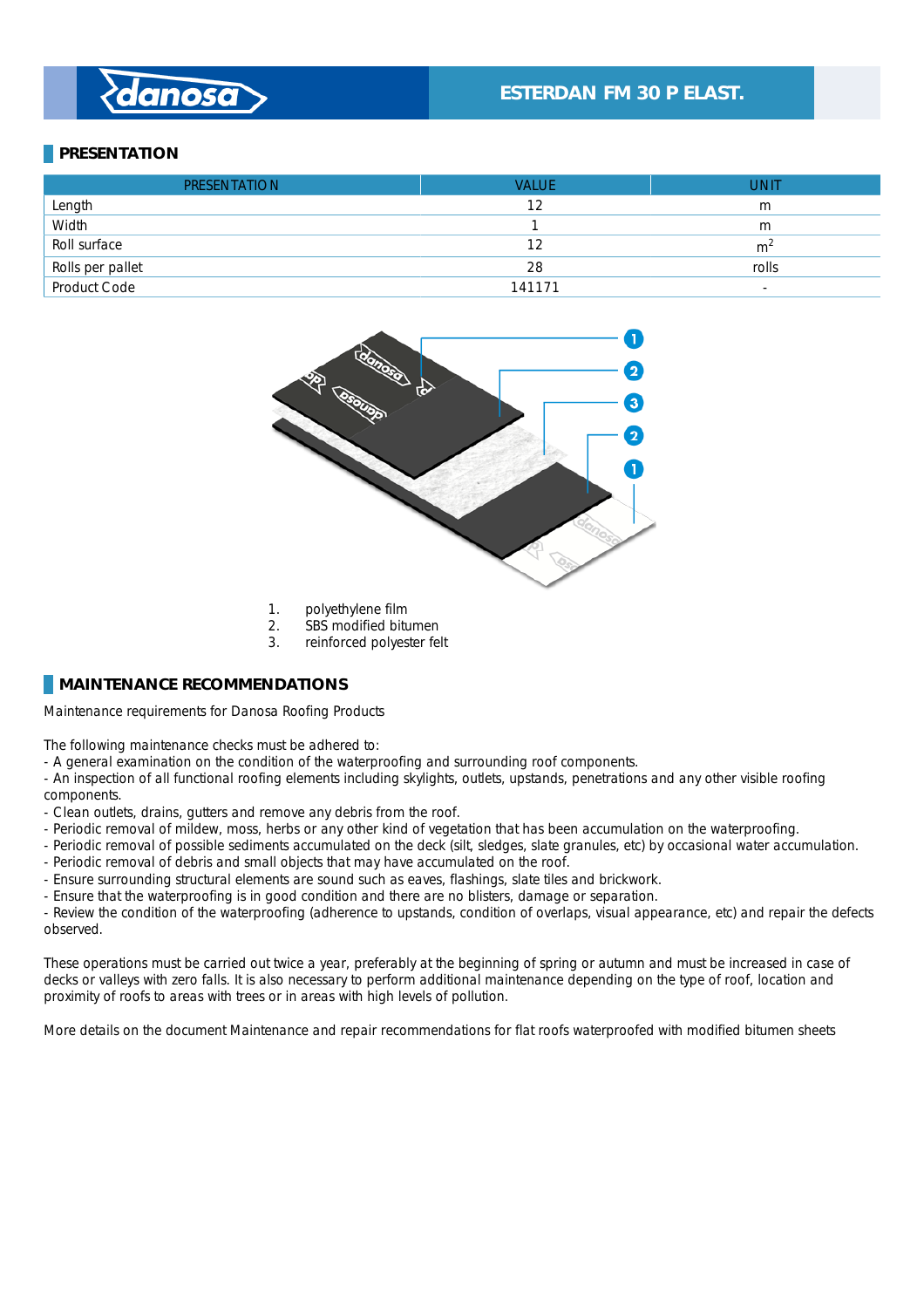# danosa

## **ESTERDAN FM 30 P ELAST.**

#### **PRESENTATION**

| <b>PRESENTATION</b> | <b>VALUE</b> | UNIT                     |
|---------------------|--------------|--------------------------|
| Length              | 12           | m                        |
| Width               |              | m                        |
| Roll surface        | 12           | m <sup>2</sup>           |
| Rolls per pallet    | 28           | rolls                    |
| Product Code        | 141171       | $\overline{\phantom{a}}$ |



- 1. polyethylene film
- 
- 2. SBS modified bitumen<br>3. reinforced polyester fel reinforced polyester felt

#### **MAINTENANCE RECOMMENDATIONS**

Maintenance requirements for Danosa Roofing Products \_

The following maintenance checks must be adhered to:

- A general examination on the condition of the waterproofing and surrounding roof components.
- An inspection of all functional roofing elements including skylights, outlets, upstands, penetrations and any other visible roofing components. \_
- Clean outlets, drains, gutters and remove any debris from the roof.
- Periodic removal of mildew, moss, herbs or any other kind of vegetation that has been accumulation on the waterproofing.
- Periodic removal of possible sediments accumulated on the deck (silt, sledges, slate granules, etc) by occasional water accumulation.
- Periodic removal of debris and small objects that may have accumulated on the roof.
- Ensure surrounding structural elements are sound such as eaves, flashings, slate tiles and brickwork.
- Ensure that the waterproofing is in good condition and there are no blisters, damage or separation. \_

- Review the condition of the waterproofing (adherence to upstands, condition of overlaps, visual appearance, etc) and repair the defects observed. \_

These operations must be carried out twice a year, preferably at the beginning of spring or autumn and must be increased in case of decks or valleys with zero falls. It is also necessary to perform additional maintenance depending on the type of roof, location and proximity of roofs to areas with trees or in areas with high levels of pollution. \_

More details on the document Maintenance and repair recommendations for flat roofs waterproofed with modified bitumen sheets